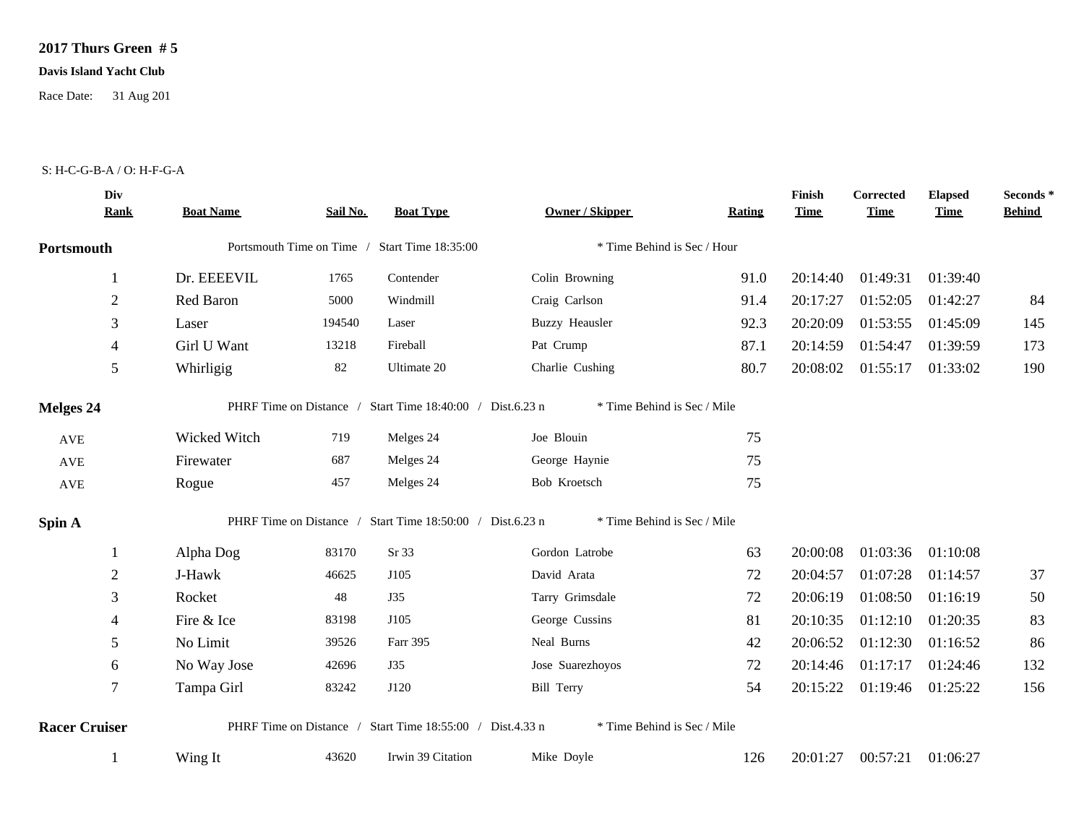## **2017 Thurs Green # 5**

## **Davis Island Yacht Club**

Race Date: 31 Aug 201

## S: H-C-G-B-A / O: H-F-G-A

| * Time Behind is Sec / Hour<br>Portsmouth Time on Time / Start Time 18:35:00<br>Portsmouth<br>Dr. EEEEVIL<br>Colin Browning<br>91.0<br>01:49:31<br>01:39:40<br>1<br>1765<br>Contender<br>20:14:40 | 84<br>145 |
|---------------------------------------------------------------------------------------------------------------------------------------------------------------------------------------------------|-----------|
|                                                                                                                                                                                                   |           |
|                                                                                                                                                                                                   |           |
| $\overline{2}$<br>Red Baron<br>Windmill<br>Craig Carlson<br>91.4<br>01:52:05<br>5000<br>20:17:27<br>01:42:27                                                                                      |           |
| $\mathfrak{Z}$<br>01:53:55<br><b>Buzzy Heausler</b><br>92.3<br>20:20:09<br>01:45:09<br>Laser<br>194540<br>Laser                                                                                   |           |
| Girl U Want<br>$\overline{4}$<br>13218<br>Fireball<br>Pat Crump<br>87.1<br>20:14:59<br>01:54:47<br>01:39:59                                                                                       | 173       |
| $\mathfrak{S}$<br>Whirligig<br>82<br>Charlie Cushing<br>80.7<br>20:08:02<br>01:55:17<br>01:33:02<br>Ultimate 20                                                                                   | 190       |
| PHRF Time on Distance / Start Time 18:40:00 / Dist.6.23 n<br>* Time Behind is Sec / Mile<br><b>Melges 24</b>                                                                                      |           |
| Wicked Witch<br>Joe Blouin<br>75<br>719<br>Melges 24<br>AVE                                                                                                                                       |           |
| 75<br>687<br>Melges 24<br>George Haynie<br>Firewater<br><b>AVE</b>                                                                                                                                |           |
| 75<br>Melges 24<br>Bob Kroetsch<br>Rogue<br>457<br>$\operatorname{AVE}$                                                                                                                           |           |
| PHRF Time on Distance / Start Time 18:50:00 / Dist.6.23 n<br>* Time Behind is Sec / Mile<br>Spin A                                                                                                |           |
| 83170<br>Sr 33<br>Gordon Latrobe<br>01:03:36<br>Alpha Dog<br>63<br>20:00:08<br>01:10:08<br>1                                                                                                      |           |
| $\overline{2}$<br>J-Hawk<br>David Arata<br>01:07:28<br>46625<br>J105<br>72<br>20:04:57<br>01:14:57                                                                                                | 37        |
| $\mathfrak{Z}$<br>Rocket<br>01:08:50<br>48<br>J35<br>Tarry Grimsdale<br>72<br>20:06:19<br>01:16:19                                                                                                | 50        |
| Fire & Ice<br>J105<br>George Cussins<br>81<br>01:12:10<br>01:20:35<br>4<br>83198<br>20:10:35                                                                                                      | 83        |
| 5<br>No Limit<br>Farr 395<br>Neal Burns<br>42<br>01:12:30<br>39526<br>20:06:52<br>01:16:52                                                                                                        | 86        |
| 01:17:17<br>6<br>No Way Jose<br>J35<br>Jose Suarezhoyos<br>72<br>01:24:46<br>42696<br>20:14:46                                                                                                    | 132       |
| $\overline{7}$<br>Tampa Girl<br>83242<br>J120<br><b>Bill Terry</b><br>54<br>20:15:22<br>01:19:46<br>01:25:22                                                                                      | 156       |
| PHRF Time on Distance / Start Time 18:55:00 / Dist.4.33 n<br>* Time Behind is Sec / Mile<br><b>Racer Cruiser</b>                                                                                  |           |
| Irwin 39 Citation<br>126<br>20:01:27<br>00:57:21<br>Wing It<br>43620<br>Mike Doyle<br>01:06:27<br>-1                                                                                              |           |